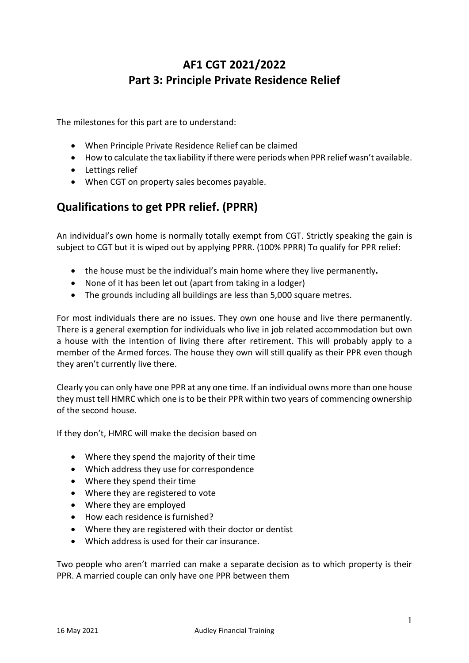# **AF1 CGT 2021/2022 Part 3: Principle Private Residence Relief**

The milestones for this part are to understand:

- When Principle Private Residence Relief can be claimed
- How to calculate the tax liability if there were periods when PPR relief wasn't available.
- Lettings relief
- When CGT on property sales becomes payable.

## **Qualifications to get PPR relief. (PPRR)**

An individual's own home is normally totally exempt from CGT. Strictly speaking the gain is subject to CGT but it is wiped out by applying PPRR. (100% PPRR) To qualify for PPR relief:

- the house must be the individual's main home where they live permanently**.**
- None of it has been let out (apart from taking in a lodger)
- The grounds including all buildings are less than 5,000 square metres.

For most individuals there are no issues. They own one house and live there permanently. There is a general exemption for individuals who live in job related accommodation but own a house with the intention of living there after retirement. This will probably apply to a member of the Armed forces. The house they own will still qualify as their PPR even though they aren't currently live there.

Clearly you can only have one PPR at any one time. If an individual owns more than one house they must tell HMRC which one is to be their PPR within two years of commencing ownership of the second house.

If they don't, HMRC will make the decision based on

- Where they spend the majority of their time
- Which address they use for correspondence
- Where they spend their time
- Where they are registered to vote
- Where they are employed
- How each residence is furnished?
- Where they are registered with their doctor or dentist
- Which address is used for their car insurance.

Two people who aren't married can make a separate decision as to which property is their PPR. A married couple can only have one PPR between them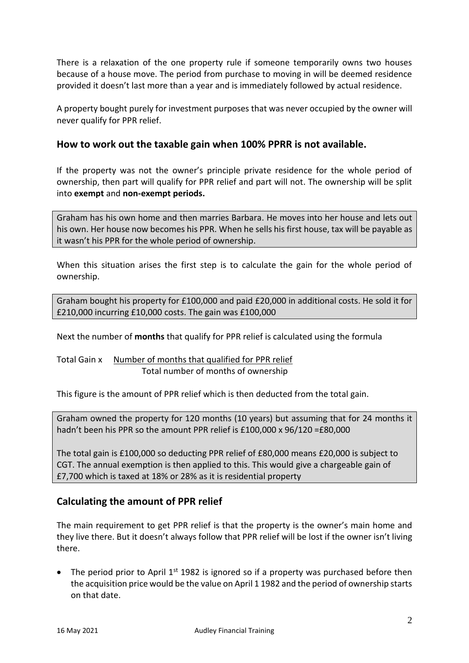There is a relaxation of the one property rule if someone temporarily owns two houses because of a house move. The period from purchase to moving in will be deemed residence provided it doesn't last more than a year and is immediately followed by actual residence.

A property bought purely for investment purposes that was never occupied by the owner will never qualify for PPR relief.

## **How to work out the taxable gain when 100% PPRR is not available.**

If the property was not the owner's principle private residence for the whole period of ownership, then part will qualify for PPR relief and part will not. The ownership will be split into **exempt** and **non-exempt periods.**

Graham has his own home and then marries Barbara. He moves into her house and lets out his own. Her house now becomes his PPR. When he sells his first house, tax will be payable as it wasn't his PPR for the whole period of ownership.

When this situation arises the first step is to calculate the gain for the whole period of ownership.

Graham bought his property for £100,000 and paid £20,000 in additional costs. He sold it for £210,000 incurring £10,000 costs. The gain was £100,000

Next the number of **months** that qualify for PPR relief is calculated using the formula

Total Gain x Number of months that qualified for PPR relief Total number of months of ownership

This figure is the amount of PPR relief which is then deducted from the total gain.

Graham owned the property for 120 months (10 years) but assuming that for 24 months it hadn't been his PPR so the amount PPR relief is £100,000 x 96/120 =£80,000

The total gain is £100,000 so deducting PPR relief of £80,000 means £20,000 is subject to CGT. The annual exemption is then applied to this. This would give a chargeable gain of £7,700 which is taxed at 18% or 28% as it is residential property

## **Calculating the amount of PPR relief**

The main requirement to get PPR relief is that the property is the owner's main home and they live there. But it doesn't always follow that PPR relief will be lost if the owner isn't living there.

• The period prior to April  $1<sup>st</sup>$  1982 is ignored so if a property was purchased before then the acquisition price would be the value on April 1 1982 and the period of ownership starts on that date.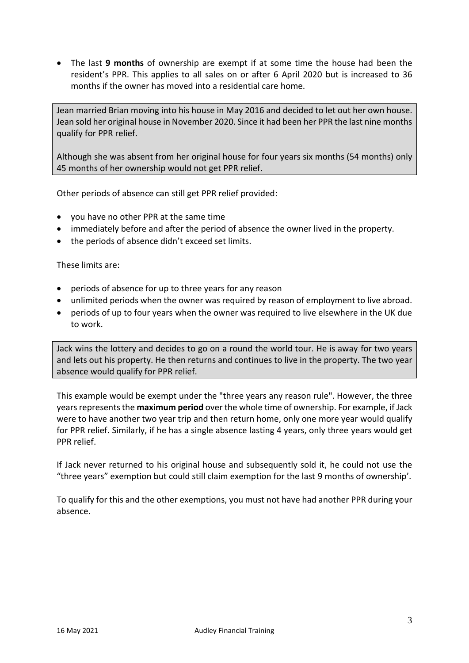• The last **9 months** of ownership are exempt if at some time the house had been the resident's PPR. This applies to all sales on or after 6 April 2020 but is increased to 36 months if the owner has moved into a residential care home.

Jean married Brian moving into his house in May 2016 and decided to let out her own house. Jean sold her original house in November 2020. Since it had been her PPR the last nine months qualify for PPR relief.

Although she was absent from her original house for four years six months (54 months) only 45 months of her ownership would not get PPR relief.

Other periods of absence can still get PPR relief provided:

- you have no other PPR at the same time
- immediately before and after the period of absence the owner lived in the property.
- the periods of absence didn't exceed set limits.

These limits are:

- periods of absence for up to three years for any reason
- unlimited periods when the owner was required by reason of employment to live abroad.
- periods of up to four years when the owner was required to live elsewhere in the UK due to work.

Jack wins the lottery and decides to go on a round the world tour. He is away for two years and lets out his property. He then returns and continues to live in the property. The two year absence would qualify for PPR relief.

This example would be exempt under the "three years any reason rule". However, the three years represents the **maximum period** over the whole time of ownership. For example, if Jack were to have another two year trip and then return home, only one more year would qualify for PPR relief. Similarly, if he has a single absence lasting 4 years, only three years would get PPR relief.

If Jack never returned to his original house and subsequently sold it, he could not use the "three years" exemption but could still claim exemption for the last 9 months of ownership'.

To qualify for this and the other exemptions, you must not have had another PPR during your absence.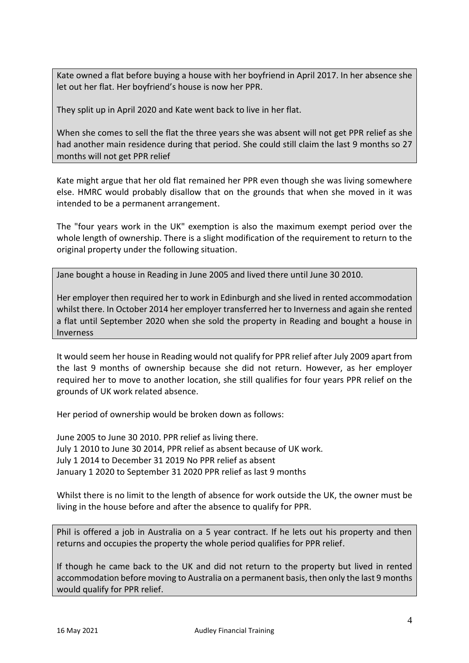Kate owned a flat before buying a house with her boyfriend in April 2017. In her absence she let out her flat. Her boyfriend's house is now her PPR.

They split up in April 2020 and Kate went back to live in her flat.

When she comes to sell the flat the three years she was absent will not get PPR relief as she had another main residence during that period. She could still claim the last 9 months so 27 months will not get PPR relief

Kate might argue that her old flat remained her PPR even though she was living somewhere else. HMRC would probably disallow that on the grounds that when she moved in it was intended to be a permanent arrangement.

The "four years work in the UK" exemption is also the maximum exempt period over the whole length of ownership. There is a slight modification of the requirement to return to the original property under the following situation.

Jane bought a house in Reading in June 2005 and lived there until June 30 2010.

Her employer then required her to work in Edinburgh and she lived in rented accommodation whilst there. In October 2014 her employer transferred her to Inverness and again she rented a flat until September 2020 when she sold the property in Reading and bought a house in Inverness

It would seem her house in Reading would not qualify for PPR relief after July 2009 apart from the last 9 months of ownership because she did not return. However, as her employer required her to move to another location, she still qualifies for four years PPR relief on the grounds of UK work related absence.

Her period of ownership would be broken down as follows:

June 2005 to June 30 2010. PPR relief as living there. July 1 2010 to June 30 2014, PPR relief as absent because of UK work. July 1 2014 to December 31 2019 No PPR relief as absent January 1 2020 to September 31 2020 PPR relief as last 9 months

Whilst there is no limit to the length of absence for work outside the UK, the owner must be living in the house before and after the absence to qualify for PPR.

Phil is offered a job in Australia on a 5 year contract. If he lets out his property and then returns and occupies the property the whole period qualifies for PPR relief.

If though he came back to the UK and did not return to the property but lived in rented accommodation before moving to Australia on a permanent basis, then only the last 9 months would qualify for PPR relief.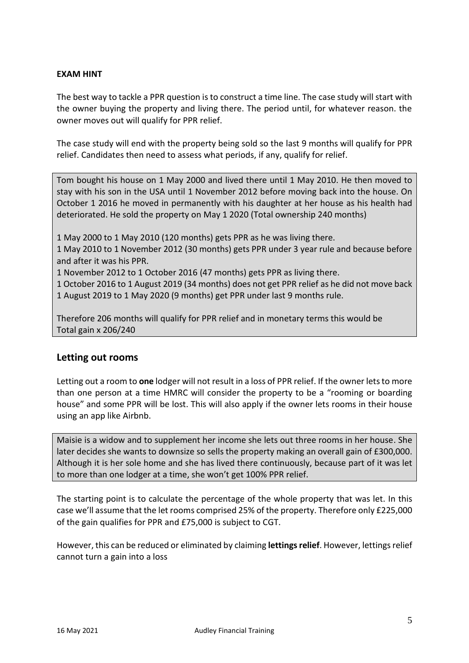#### **EXAM HINT**

The best way to tackle a PPR question is to construct a time line. The case study will start with the owner buying the property and living there. The period until, for whatever reason. the owner moves out will qualify for PPR relief.

The case study will end with the property being sold so the last 9 months will qualify for PPR relief. Candidates then need to assess what periods, if any, qualify for relief.

Tom bought his house on 1 May 2000 and lived there until 1 May 2010. He then moved to stay with his son in the USA until 1 November 2012 before moving back into the house. On October 1 2016 he moved in permanently with his daughter at her house as his health had deteriorated. He sold the property on May 1 2020 (Total ownership 240 months)

1 May 2000 to 1 May 2010 (120 months) gets PPR as he was living there.

1 May 2010 to 1 November 2012 (30 months) gets PPR under 3 year rule and because before and after it was his PPR.

1 November 2012 to 1 October 2016 (47 months) gets PPR as living there.

1 October 2016 to 1 August 2019 (34 months) does not get PPR relief as he did not move back 1 August 2019 to 1 May 2020 (9 months) get PPR under last 9 months rule.

Therefore 206 months will qualify for PPR relief and in monetary terms this would be Total gain x 206/240

#### **Letting out rooms**

Letting out a room to **one** lodger will not result in a loss of PPR relief. If the owner lets to more than one person at a time HMRC will consider the property to be a "rooming or boarding house" and some PPR will be lost. This will also apply if the owner lets rooms in their house using an app like Airbnb.

Maisie is a widow and to supplement her income she lets out three rooms in her house. She later decides she wants to downsize so sells the property making an overall gain of £300,000. Although it is her sole home and she has lived there continuously, because part of it was let to more than one lodger at a time, she won't get 100% PPR relief.

The starting point is to calculate the percentage of the whole property that was let. In this case we'll assume that the let rooms comprised 25% of the property. Therefore only £225,000 of the gain qualifies for PPR and £75,000 is subject to CGT.

However, this can be reduced or eliminated by claiming **lettings relief**. However, lettings relief cannot turn a gain into a loss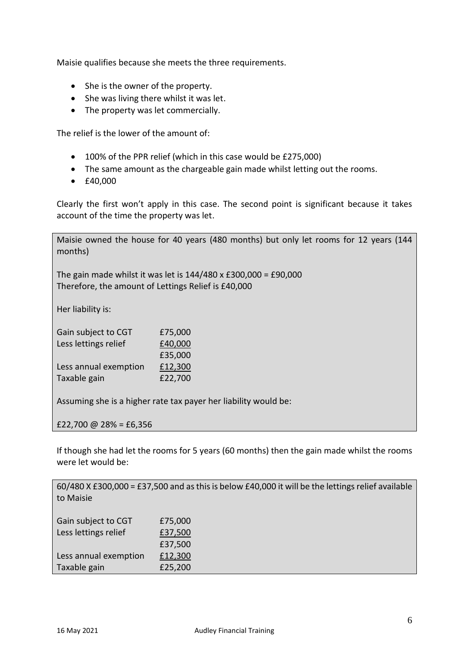Maisie qualifies because she meets the three requirements.

- She is the owner of the property.
- She was living there whilst it was let.
- The property was let commercially.

The relief is the lower of the amount of:

- 100% of the PPR relief (which in this case would be £275,000)
- The same amount as the chargeable gain made whilst letting out the rooms.
- £40,000

Clearly the first won't apply in this case. The second point is significant because it takes account of the time the property was let.

Maisie owned the house for 40 years (480 months) but only let rooms for 12 years (144 months)

The gain made whilst it was let is 144/480 x £300,000 = £90,000 Therefore, the amount of Lettings Relief is £40,000

Her liability is:

| Gain subject to CGT   | £75,000 |
|-----------------------|---------|
| Less lettings relief  | £40,000 |
|                       | £35,000 |
| Less annual exemption | £12,300 |
| Taxable gain          | £22,700 |

Assuming she is a higher rate tax payer her liability would be:

£22,700 @ 28% = £6,356

If though she had let the rooms for 5 years (60 months) then the gain made whilst the rooms were let would be:

60/480 X £300,000 = £37,500 and as this is below £40,000 it will be the lettings relief available to Maisie Gain subject to CGT £75,000

| Less lettings relief  | £37,500 |
|-----------------------|---------|
|                       | £37,500 |
| Less annual exemption | £12,300 |
| Taxable gain          | £25,200 |